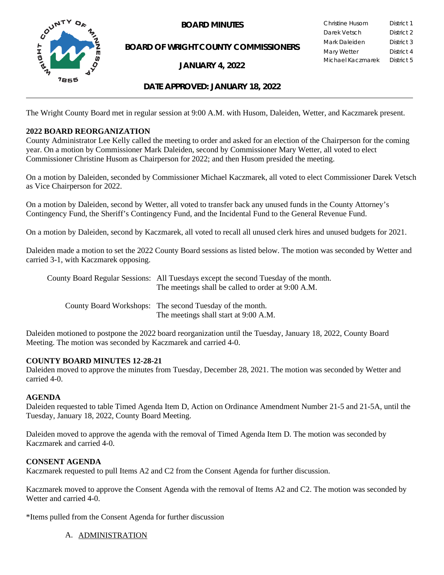

**BOARD MINUTES** 

**BOARD OF WRIGHT COUNTY COMMISSIONERS**

**JANUARY 4, 2022**

| Christine Husom   | District 1 |
|-------------------|------------|
| Darek Vetsch      | District 2 |
| Mark Daleiden     | District 3 |
| Mary Wetter       | District 4 |
| Michael Kaczmarek | District 5 |
|                   |            |

### **DATE APPROVED: JANUARY 18, 2022**

The Wright County Board met in regular session at 9:00 A.M. with Husom, Daleiden, Wetter, and Kaczmarek present.

### **2022 BOARD REORGANIZATION**

County Administrator Lee Kelly called the meeting to order and asked for an election of the Chairperson for the coming year. On a motion by Commissioner Mark Daleiden, second by Commissioner Mary Wetter, all voted to elect Commissioner Christine Husom as Chairperson for 2022; and then Husom presided the meeting.

On a motion by Daleiden, seconded by Commissioner Michael Kaczmarek, all voted to elect Commissioner Darek Vetsch as Vice Chairperson for 2022.

On a motion by Daleiden, second by Wetter, all voted to transfer back any unused funds in the County Attorney's Contingency Fund, the Sheriff's Contingency Fund, and the Incidental Fund to the General Revenue Fund.

On a motion by Daleiden, second by Kaczmarek, all voted to recall all unused clerk hires and unused budgets for 2021.

Daleiden made a motion to set the 2022 County Board sessions as listed below. The motion was seconded by Wetter and carried 3-1, with Kaczmarek opposing.

| County Board Regular Sessions: All Tuesdays except the second Tuesday of the month.<br>The meetings shall be called to order at 9:00 A.M. |
|-------------------------------------------------------------------------------------------------------------------------------------------|
| County Board Workshops: The second Tuesday of the month.<br>The meetings shall start at 9:00 A.M.                                         |

Daleiden motioned to postpone the 2022 board reorganization until the Tuesday, January 18, 2022, County Board Meeting. The motion was seconded by Kaczmarek and carried 4-0.

#### **COUNTY BOARD MINUTES 12-28-21**

Daleiden moved to approve the minutes from Tuesday, December 28, 2021. The motion was seconded by Wetter and carried 4-0.

#### **AGENDA**

Daleiden requested to table Timed Agenda Item D, Action on Ordinance Amendment Number 21-5 and 21-5A, until the Tuesday, January 18, 2022, County Board Meeting.

Daleiden moved to approve the agenda with the removal of Timed Agenda Item D. The motion was seconded by Kaczmarek and carried 4-0.

#### **CONSENT AGENDA**

Kaczmarek requested to pull Items A2 and C2 from the Consent Agenda for further discussion.

Kaczmarek moved to approve the Consent Agenda with the removal of Items A2 and C2. The motion was seconded by Wetter and carried 4-0.

\*Items pulled from the Consent Agenda for further discussion

#### A. ADMINISTRATION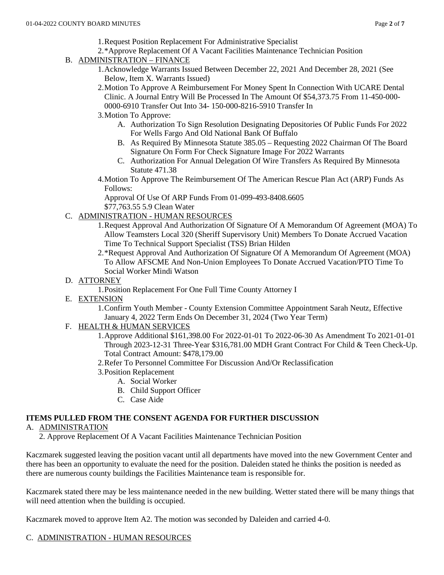- 2.\*Approve Replacement Of A Vacant Facilities Maintenance Technician Position
- B. ADMINISTRATION FINANCE
	- 1.Acknowledge Warrants Issued Between December 22, 2021 And December 28, 2021 (See Below, Item X. Warrants Issued)
	- 2.Motion To Approve A Reimbursement For Money Spent In Connection With UCARE Dental Clinic. A Journal Entry Will Be Processed In The Amount Of \$54,373.75 From 11-450-000- 0000-6910 Transfer Out Into 34- 150-000-8216-5910 Transfer In
	- 3.Motion To Approve:
		- A. Authorization To Sign Resolution Designating Depositories Of Public Funds For 2022 For Wells Fargo And Old National Bank Of Buffalo
		- B. As Required By Minnesota Statute 385.05 Requesting 2022 Chairman Of The Board Signature On Form For Check Signature Image For 2022 Warrants
		- C. Authorization For Annual Delegation Of Wire Transfers As Required By Minnesota Statute 471.38
	- 4.Motion To Approve The Reimbursement Of The American Rescue Plan Act (ARP) Funds As Follows:

Approval Of Use Of ARP Funds From 01-099-493-8408.6605

\$77,763.55 5.9 Clean Water

# C. ADMINISTRATION - HUMAN RESOURCES

- 1.Request Approval And Authorization Of Signature Of A Memorandum Of Agreement (MOA) To Allow Teamsters Local 320 (Sheriff Supervisory Unit) Members To Donate Accrued Vacation Time To Technical Support Specialist (TSS) Brian Hilden
- 2.\*Request Approval And Authorization Of Signature Of A Memorandum Of Agreement (MOA) To Allow AFSCME And Non-Union Employees To Donate Accrued Vacation/PTO Time To Social Worker Mindi Watson

# D. ATTORNEY

- 1.Position Replacement For One Full Time County Attorney I
- E. EXTENSION
	- 1.Confirm Youth Member County Extension Committee Appointment Sarah Neutz, Effective January 4, 2022 Term Ends On December 31, 2024 (Two Year Term)

# F. HEALTH & HUMAN SERVICES

- 1.Approve Additional \$161,398.00 For 2022-01-01 To 2022-06-30 As Amendment To 2021-01-01 Through 2023-12-31 Three-Year \$316,781.00 MDH Grant Contract For Child & Teen Check-Up. Total Contract Amount: \$478,179.00
- 2.Refer To Personnel Committee For Discussion And/Or Reclassification
- 3.Position Replacement
	- A. Social Worker
	- B. Child Support Officer
	- C. Case Aide

# **ITEMS PULLED FROM THE CONSENT AGENDA FOR FURTHER DISCUSSION**

# A. ADMINISTRATION

2. Approve Replacement Of A Vacant Facilities Maintenance Technician Position

Kaczmarek suggested leaving the position vacant until all departments have moved into the new Government Center and there has been an opportunity to evaluate the need for the position. Daleiden stated he thinks the position is needed as there are numerous county buildings the Facilities Maintenance team is responsible for.

Kaczmarek stated there may be less maintenance needed in the new building. Wetter stated there will be many things that will need attention when the building is occupied.

Kaczmarek moved to approve Item A2. The motion was seconded by Daleiden and carried 4-0.

# C. ADMINISTRATION - HUMAN RESOURCES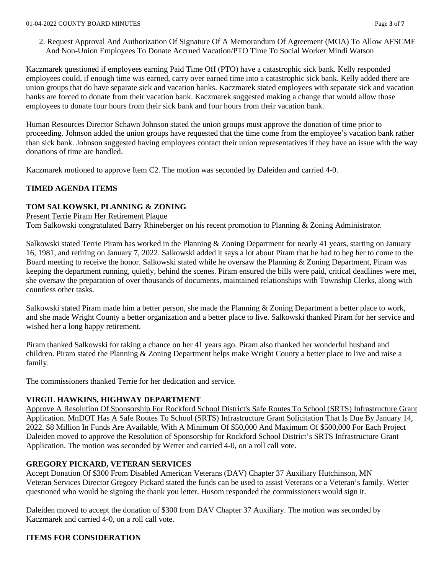2. Request Approval And Authorization Of Signature Of A Memorandum Of Agreement (MOA) To Allow AFSCME And Non-Union Employees To Donate Accrued Vacation/PTO Time To Social Worker Mindi Watson

Kaczmarek questioned if employees earning Paid Time Off (PTO) have a catastrophic sick bank. Kelly responded employees could, if enough time was earned, carry over earned time into a catastrophic sick bank. Kelly added there are union groups that do have separate sick and vacation banks. Kaczmarek stated employees with separate sick and vacation banks are forced to donate from their vacation bank. Kaczmarek suggested making a change that would allow those employees to donate four hours from their sick bank and four hours from their vacation bank.

Human Resources Director Schawn Johnson stated the union groups must approve the donation of time prior to proceeding. Johnson added the union groups have requested that the time come from the employee's vacation bank rather than sick bank. Johnson suggested having employees contact their union representatives if they have an issue with the way donations of time are handled.

Kaczmarek motioned to approve Item C2. The motion was seconded by Daleiden and carried 4-0.

# **TIMED AGENDA ITEMS**

### **TOM SALKOWSKI, PLANNING & ZONING**

Present Terrie Piram Her Retirement Plaque

Tom Salkowski congratulated Barry Rhineberger on his recent promotion to Planning & Zoning Administrator.

Salkowski stated Terrie Piram has worked in the Planning & Zoning Department for nearly 41 years, starting on January 16, 1981, and retiring on January 7, 2022. Salkowski added it says a lot about Piram that he had to beg her to come to the Board meeting to receive the honor. Salkowski stated while he oversaw the Planning & Zoning Department, Piram was keeping the department running, quietly, behind the scenes. Piram ensured the bills were paid, critical deadlines were met, she oversaw the preparation of over thousands of documents, maintained relationships with Township Clerks, along with countless other tasks.

Salkowski stated Piram made him a better person, she made the Planning & Zoning Department a better place to work, and she made Wright County a better organization and a better place to live. Salkowski thanked Piram for her service and wished her a long happy retirement.

Piram thanked Salkowski for taking a chance on her 41 years ago. Piram also thanked her wonderful husband and children. Piram stated the Planning & Zoning Department helps make Wright County a better place to live and raise a family.

The commissioners thanked Terrie for her dedication and service.

#### **VIRGIL HAWKINS, HIGHWAY DEPARTMENT**

Approve A Resolution Of Sponsorship For Rockford School District's Safe Routes To School (SRTS) Infrastructure Grant Application. MnDOT Has A Safe Routes To School (SRTS) Infrastructure Grant Solicitation That Is Due By January 14, 2022. \$8 Million In Funds Are Available, With A Minimum Of \$50,000 And Maximum Of \$500,000 For Each Project Daleiden moved to approve the Resolution of Sponsorship for Rockford School District's SRTS Infrastructure Grant Application. The motion was seconded by Wetter and carried 4-0, on a roll call vote.

#### **GREGORY PICKARD, VETERAN SERVICES**

Accept Donation Of \$300 From Disabled American Veterans (DAV) Chapter 37 Auxiliary Hutchinson, MN Veteran Services Director Gregory Pickard stated the funds can be used to assist Veterans or a Veteran's family. Wetter questioned who would be signing the thank you letter. Husom responded the commissioners would sign it.

Daleiden moved to accept the donation of \$300 from DAV Chapter 37 Auxiliary. The motion was seconded by Kaczmarek and carried  $4-0$ , on a roll call vote.

# **ITEMS FOR CONSIDERATION**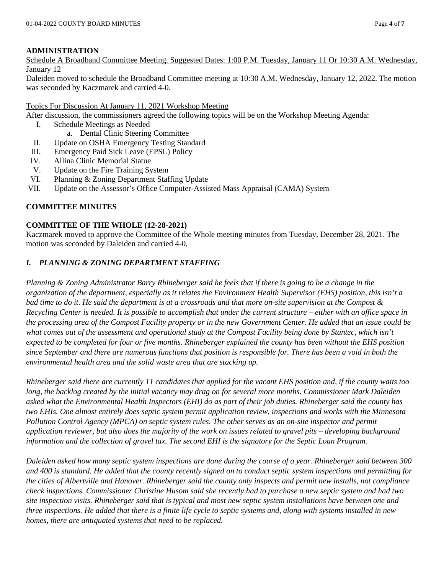### **ADMINISTRATION**

Schedule A Broadband Committee Meeting. Suggested Dates: 1:00 P.M. Tuesday, January 11 Or 10:30 A.M. Wednesday, January 12

Daleiden moved to schedule the Broadband Committee meeting at 10:30 A.M. Wednesday, January 12, 2022. The motion was seconded by Kaczmarek and carried 4-0.

#### Topics For Discussion At January 11, 2021 Workshop Meeting

After discussion, the commissioners agreed the following topics will be on the Workshop Meeting Agenda:

- I. Schedule Meetings as Needed
	- a. Dental Clinic Steering Committee
- II. Update on OSHA Emergency Testing Standard
- III. Emergency Paid Sick Leave (EPSL) Policy
- IV. Allina Clinic Memorial Statue
- V. Update on the Fire Training System
- VI. Planning & Zoning Department Staffing Update
- VII. Update on the Assessor's Office Computer-Assisted Mass Appraisal (CAMA) System

### **COMMITTEE MINUTES**

#### **COMMITTEE OF THE WHOLE (12-28-2021)**

Kaczmarek moved to approve the Committee of the Whole meeting minutes from Tuesday, December 28, 2021. The motion was seconded by Daleiden and carried 4-0.

# *I. PLANNING & ZONING DEPARTMENT STAFFING*

*Planning & Zoning Administrator Barry Rhineberger said he feels that if there is going to be a change in the organization of the department, especially as it relates the Environment Health Supervisor (EHS) position, this isn't a bad time to do it. He said the department is at a crossroads and that more on-site supervision at the Compost & Recycling Center is needed. It is possible to accomplish that under the current structure – either with an office space in the processing area of the Compost Facility property or in the new Government Center. He added that an issue could be what comes out of the assessment and operational study at the Compost Facility being done by Stantec, which isn't expected to be completed for four or five months. Rhineberger explained the county has been without the EHS position since September and there are numerous functions that position is responsible for. There has been a void in both the environmental health area and the solid waste area that are stacking up.*

*Rhineberger said there are currently 11 candidates that applied for the vacant EHS position and, if the county waits too long, the backlog created by the initial vacancy may drag on for several more months. Commissioner Mark Daleiden asked what the Environmental Health Inspectors (EHI) do as part of their job duties. Rhineberger said the county has two EHIs. One almost entirely does septic system permit application review, inspections and works with the Minnesota Pollution Control Agency (MPCA) on septic system rules. The other serves as an on-site inspector and permit application reviewer, but also does the majority of the work on issues related to gravel pits – developing background information and the collection of gravel tax. The second EHI is the signatory for the Septic Loan Program.*

*Daleiden asked how many septic system inspections are done during the course of a year. Rhineberger said between 300 and 400 is standard. He added that the county recently signed on to conduct septic system inspections and permitting for the cities of Albertville and Hanover. Rhineberger said the county only inspects and permit new installs, not compliance check inspections. Commissioner Christine Husom said she recently had to purchase a new septic system and had two site inspection visits. Rhineberger said that is typical and most new septic system installations have between one and three inspections. He added that there is a finite life cycle to septic systems and, along with systems installed in new homes, there are antiquated systems that need to be replaced.*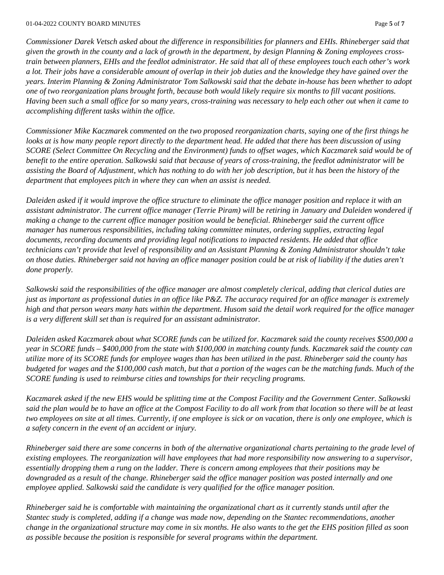*Commissioner Darek Vetsch asked about the difference in responsibilities for planners and EHIs. Rhineberger said that given the growth in the county and a lack of growth in the department, by design Planning & Zoning employees crosstrain between planners, EHIs and the feedlot administrator. He said that all of these employees touch each other's work a lot. Their jobs have a considerable amount of overlap in their job duties and the knowledge they have gained over the years. Interim Planning & Zoning Administrator Tom Salkowski said that the debate in-house has been whether to adopt one of two reorganization plans brought forth, because both would likely require six months to fill vacant positions. Having been such a small office for so many years, cross-training was necessary to help each other out when it came to accomplishing different tasks within the office.*

*Commissioner Mike Kaczmarek commented on the two proposed reorganization charts, saying one of the first things he looks at is how many people report directly to the department head. He added that there has been discussion of using SCORE (Select Committee On Recycling and the Environment) funds to offset wages, which Kaczmarek said would be of benefit to the entire operation. Salkowski said that because of years of cross-training, the feedlot administrator will be assisting the Board of Adjustment, which has nothing to do with her job description, but it has been the history of the department that employees pitch in where they can when an assist is needed.*

*Daleiden asked if it would improve the office structure to eliminate the office manager position and replace it with an assistant administrator. The current office manager (Terrie Piram) will be retiring in January and Daleiden wondered if making a change to the current office manager position would be beneficial. Rhineberger said the current office manager has numerous responsibilities, including taking committee minutes, ordering supplies, extracting legal documents, recording documents and providing legal notifications to impacted residents. He added that office technicians can't provide that level of responsibility and an Assistant Planning & Zoning Administrator shouldn't take on those duties. Rhineberger said not having an office manager position could be at risk of liability if the duties aren't done properly.*

*Salkowski said the responsibilities of the office manager are almost completely clerical, adding that clerical duties are just as important as professional duties in an office like P&Z. The accuracy required for an office manager is extremely high and that person wears many hats within the department. Husom said the detail work required for the office manager is a very different skill set than is required for an assistant administrator.*

*Daleiden asked Kaczmarek about what SCORE funds can be utilized for. Kaczmarek said the county receives \$500,000 a year in SCORE funds – \$400,000 from the state with \$100,000 in matching county funds. Kaczmarek said the county can utilize more of its SCORE funds for employee wages than has been utilized in the past. Rhineberger said the county has budgeted for wages and the \$100,000 cash match, but that a portion of the wages can be the matching funds. Much of the SCORE funding is used to reimburse cities and townships for their recycling programs.*

*Kaczmarek asked if the new EHS would be splitting time at the Compost Facility and the Government Center. Salkowski said the plan would be to have an office at the Compost Facility to do all work from that location so there will be at least two employees on site at all times. Currently, if one employee is sick or on vacation, there is only one employee, which is a safety concern in the event of an accident or injury.*

*Rhineberger said there are some concerns in both of the alternative organizational charts pertaining to the grade level of existing employees. The reorganization will have employees that had more responsibility now answering to a supervisor, essentially dropping them a rung on the ladder. There is concern among employees that their positions may be downgraded as a result of the change. Rhineberger said the office manager position was posted internally and one employee applied. Salkowski said the candidate is very qualified for the office manager position.*

*Rhineberger said he is comfortable with maintaining the organizational chart as it currently stands until after the Stantec study is completed, adding if a change was made now, depending on the Stantec recommendations, another change in the organizational structure may come in six months. He also wants to the get the EHS position filled as soon as possible because the position is responsible for several programs within the department.*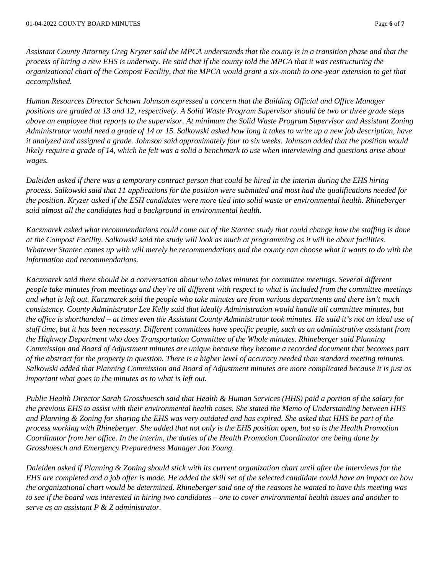*Assistant County Attorney Greg Kryzer said the MPCA understands that the county is in a transition phase and that the process of hiring a new EHS is underway. He said that if the county told the MPCA that it was restructuring the organizational chart of the Compost Facility, that the MPCA would grant a six-month to one-year extension to get that accomplished.*

*Human Resources Director Schawn Johnson expressed a concern that the Building Official and Office Manager positions are graded at 13 and 12, respectively. A Solid Waste Program Supervisor should be two or three grade steps above an employee that reports to the supervisor. At minimum the Solid Waste Program Supervisor and Assistant Zoning Administrator would need a grade of 14 or 15. Salkowski asked how long it takes to write up a new job description, have it analyzed and assigned a grade. Johnson said approximately four to six weeks. Johnson added that the position would likely require a grade of 14, which he felt was a solid a benchmark to use when interviewing and questions arise about wages.*

*Daleiden asked if there was a temporary contract person that could be hired in the interim during the EHS hiring process. Salkowski said that 11 applications for the position were submitted and most had the qualifications needed for the position. Kryzer asked if the ESH candidates were more tied into solid waste or environmental health. Rhineberger said almost all the candidates had a background in environmental health.*

*Kaczmarek asked what recommendations could come out of the Stantec study that could change how the staffing is done at the Compost Facility. Salkowski said the study will look as much at programming as it will be about facilities. Whatever Stantec comes up with will merely be recommendations and the county can choose what it wants to do with the information and recommendations.*

*Kaczmarek said there should be a conversation about who takes minutes for committee meetings. Several different people take minutes from meetings and they're all different with respect to what is included from the committee meetings and what is left out. Kaczmarek said the people who take minutes are from various departments and there isn't much consistency. County Administrator Lee Kelly said that ideally Administration would handle all committee minutes, but the office is shorthanded – at times even the Assistant County Administrator took minutes. He said it's not an ideal use of staff time, but it has been necessary. Different committees have specific people, such as an administrative assistant from the Highway Department who does Transportation Committee of the Whole minutes. Rhineberger said Planning Commission and Board of Adjustment minutes are unique because they become a recorded document that becomes part of the abstract for the property in question. There is a higher level of accuracy needed than standard meeting minutes. Salkowski added that Planning Commission and Board of Adjustment minutes are more complicated because it is just as important what goes in the minutes as to what is left out.*

*Public Health Director Sarah Grosshuesch said that Health & Human Services (HHS) paid a portion of the salary for the previous EHS to assist with their environmental health cases. She stated the Memo of Understanding between HHS and Planning & Zoning for sharing the EHS was very outdated and has expired. She asked that HHS be part of the process working with Rhineberger. She added that not only is the EHS position open, but so is the Health Promotion Coordinator from her office. In the interim, the duties of the Health Promotion Coordinator are being done by Grosshuesch and Emergency Preparedness Manager Jon Young.*

*Daleiden asked if Planning & Zoning should stick with its current organization chart until after the interviews for the EHS are completed and a job offer is made. He added the skill set of the selected candidate could have an impact on how the organizational chart would be determined. Rhineberger said one of the reasons he wanted to have this meeting was to see if the board was interested in hiring two candidates – one to cover environmental health issues and another to serve as an assistant P & Z administrator.*